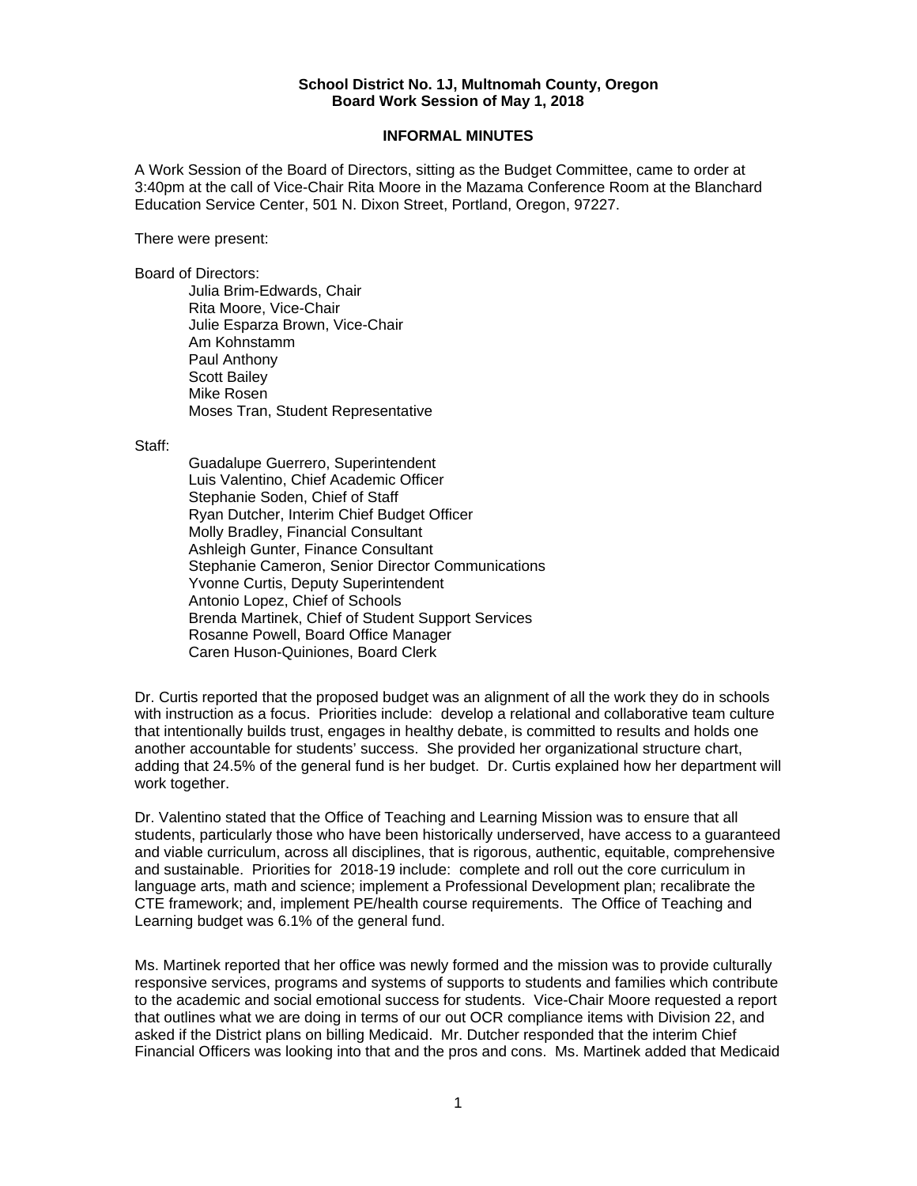## **School District No. 1J, Multnomah County, Oregon Board Work Session of May 1, 2018**

## **INFORMAL MINUTES**

A Work Session of the Board of Directors, sitting as the Budget Committee, came to order at 3:40pm at the call of Vice-Chair Rita Moore in the Mazama Conference Room at the Blanchard Education Service Center, 501 N. Dixon Street, Portland, Oregon, 97227.

There were present:

Board of Directors:

Julia Brim-Edwards, Chair Rita Moore, Vice-Chair Julie Esparza Brown, Vice-Chair Am Kohnstamm Paul Anthony Scott Bailey Mike Rosen Moses Tran, Student Representative

Staff:

 Guadalupe Guerrero, Superintendent Luis Valentino, Chief Academic Officer Stephanie Soden, Chief of Staff Ryan Dutcher, Interim Chief Budget Officer Molly Bradley, Financial Consultant Ashleigh Gunter, Finance Consultant Stephanie Cameron, Senior Director Communications Yvonne Curtis, Deputy Superintendent Antonio Lopez, Chief of Schools Brenda Martinek, Chief of Student Support Services Rosanne Powell, Board Office Manager Caren Huson-Quiniones, Board Clerk

Dr. Curtis reported that the proposed budget was an alignment of all the work they do in schools with instruction as a focus. Priorities include: develop a relational and collaborative team culture that intentionally builds trust, engages in healthy debate, is committed to results and holds one another accountable for students' success. She provided her organizational structure chart, adding that 24.5% of the general fund is her budget. Dr. Curtis explained how her department will work together.

Dr. Valentino stated that the Office of Teaching and Learning Mission was to ensure that all students, particularly those who have been historically underserved, have access to a guaranteed and viable curriculum, across all disciplines, that is rigorous, authentic, equitable, comprehensive and sustainable. Priorities for 2018-19 include: complete and roll out the core curriculum in language arts, math and science; implement a Professional Development plan; recalibrate the CTE framework; and, implement PE/health course requirements. The Office of Teaching and Learning budget was 6.1% of the general fund.

Ms. Martinek reported that her office was newly formed and the mission was to provide culturally responsive services, programs and systems of supports to students and families which contribute to the academic and social emotional success for students. Vice-Chair Moore requested a report that outlines what we are doing in terms of our out OCR compliance items with Division 22, and asked if the District plans on billing Medicaid. Mr. Dutcher responded that the interim Chief Financial Officers was looking into that and the pros and cons. Ms. Martinek added that Medicaid